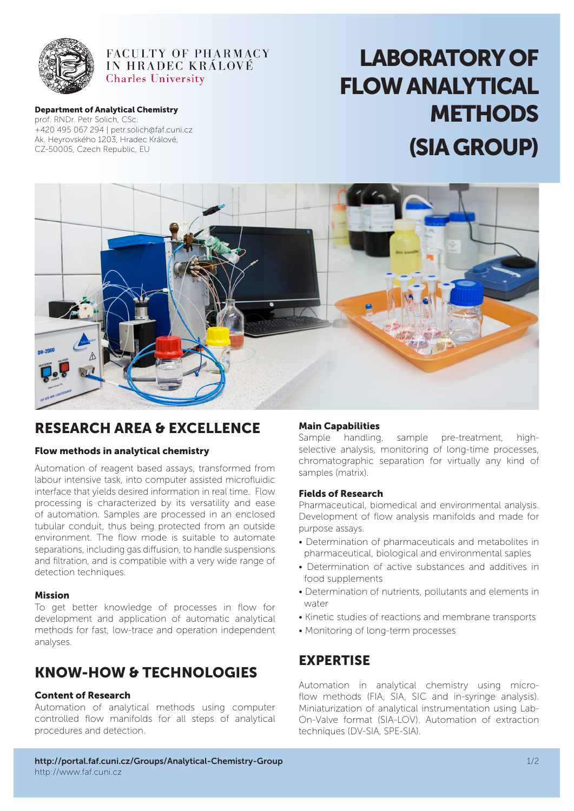

## FACULTY OF PHARMACY IN HRADEC KRÁLOVÉ **Charles University**

#### Department of Analytical Chemistry

prof. RNDr. Petr Solich, CSc. +420 495 067 294 | petr.solich@faf.cuni.cz Ak. Heyrovského 1203, Hradec Králové, CZ-50005, Czech Republic, EU

# LABORATORY OF FLOW ANALYTICAL **METHODS** (SIA GROUP)



# RESEARCH AREA & EXCELLENCE

## Flow methods in analytical chemistry

Automation of reagent based assays, transformed from labour intensive task, into computer assisted microfluidic interface that yields desired information in real time. Flow processing is characterized by its versatility and ease of automation. Samples are processed in an enclosed tubular conduit, thus being protected from an outside environment. The flow mode is suitable to automate separations, including gas diffusion, to handle suspensions and filtration, and is compatible with a very wide range of detection techniques.

## Mission

To get better knowledge of processes in flow for development and application of automatic analytical methods for fast, low-trace and operation independent analyses.

# KNOW-HOW & TECHNOLOGIES

## Content of Research

Automation of analytical methods using computer controlled flow manifolds for all steps of analytical procedures and detection.

## Main Capabilities

Sample handling, sample pre-treatment, highselective analysis, monitoring of long-time processes, chromatographic separation for virtually any kind of samples (matrix).

## Fields of Research

Pharmaceutical, biomedical and environmental analysis. Development of flow analysis manifolds and made for purpose assays.

- Determination of pharmaceuticals and metabolites in pharmaceutical, biological and environmental saples
- Determination of active substances and additives in food supplements
- Determination of nutrients, pollutants and elements in water
- Kinetic studies of reactions and membrane transports
- Monitoring of long-term processes

## **EXPERTISE**

Automation in analytical chemistry using microflow methods (FIA, SIA, SIC and in-syringe analysis). Miniaturization of analytical instrumentation using Lab-On-Valve format (SIA-LOV). Automation of extraction techniques (DV-SIA, SPE-SIA).